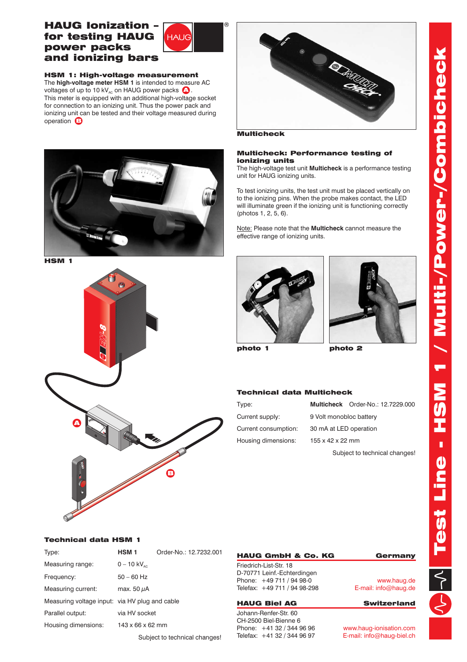# Test Line - HSM 1 / Multi-/Power-/Combicheck 1 / Multi-/Power-/Combicheck **NSH** M Test Line -

# HAUG Ionization – for testing HAUG power packs and ionizing bars



HSM 1: High-voltage measurement The **high-voltage meter HSM 1** is intended to measure AC voltages of up to 10 kV<sub>AC</sub> on HAUG power packs  $\bullet$ . This meter is equipped with an additional high-voltage socket for connection to an ionizing unit. Thus the power pack and ionizing unit can be tested and their voltage measured during operation  $\bigcirc$ 



HSM 1





**Multicheck** 

### Multicheck: Performance testing of ionizing units

The high-voltage test unit **Multicheck** is a performance testing unit for HAUG ionizing units.

To test ionizing units, the test unit must be placed vertically on to the ionizing pins. When the probe makes contact, the LED will illuminate green if the ionizing unit is functioning correctly (photos 1, 2, 5, 6).

Note: Please note that the **Multicheck** cannot measure the effective range of ionizing units.





photo 1

photo 2

## Technical data Multicheck

| Type:                |                         | Multicheck Order-No.: 12.7229.000 |
|----------------------|-------------------------|-----------------------------------|
| Current supply:      | 9 Volt monobloc battery |                                   |
| Current consumption: | 30 mA at LED operation  |                                   |
| Housing dimensions:  | 155 x 42 x 22 mm        |                                   |
|                      |                         |                                   |

Subject to technical changes!

## Technical data HSM 1

| Type:                                          | <b>HSM 1</b>              | Order-No.: 12.7232.001 |
|------------------------------------------------|---------------------------|------------------------|
| Measuring range:                               | $0 - 10$ kV <sub>ac</sub> |                        |
| Frequency:                                     | $50 - 60$ Hz              |                        |
| Measuring current:                             | max. 50 µA                |                        |
| Measuring voltage input: via HV plug and cable |                           |                        |
| Parallel output:                               | via HV socket             |                        |
| Housing dimensions:                            | 143 x 66 x 62 mm          |                        |
|                                                |                           |                        |

Subject to technical changes!

## HAUG GmbH & Co. KG Germany Friedrich-List-Str. 18

D-70771 Leinf.-Echterdingen Phone: +49 711 / 94 98-0 Telefax: +49 711 / 94 98-298

### HAUG Biel AG Switzerland

Johann-Renfer-Str. 60 CH-2500 Biel-Bienne 6 Phone: +41 32 / 344 96 96 Telefax: +41 32 / 344 96 97

www.haug.de E-mail: info@haug.de

www.haug-ionisation.com E-mail: info@haug-biel.ch